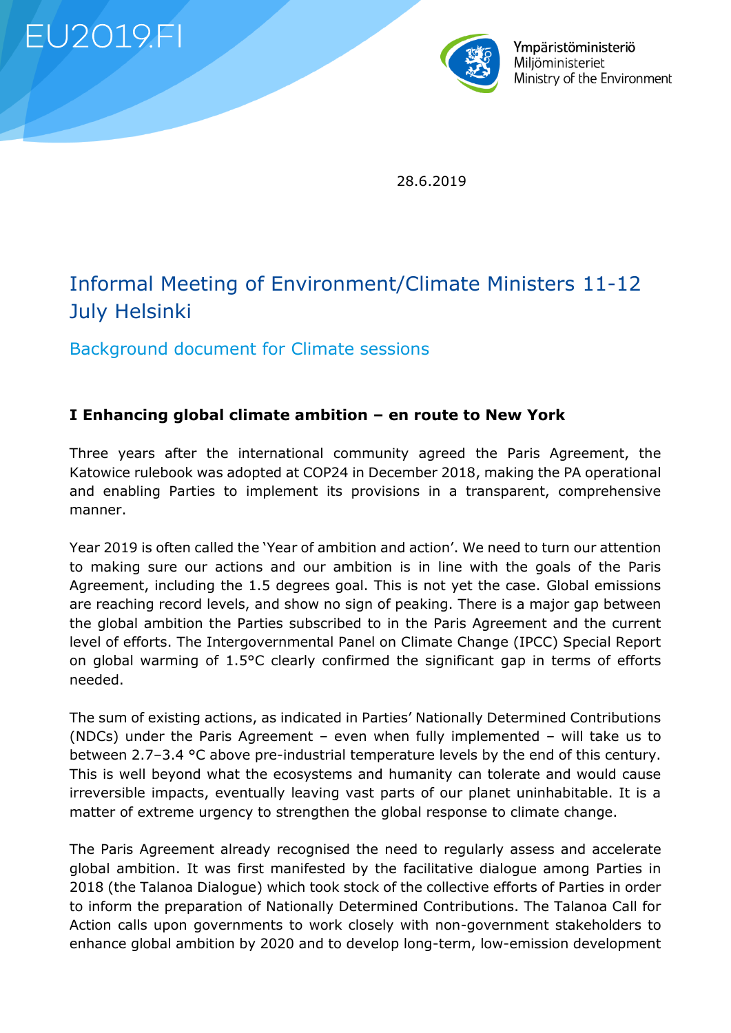**EU2019.FI** 



Ympäristöministeriö Miliöministeriet Ministry of the Environment

28.6.2019

# Informal Meeting of Environment/Climate Ministers 11-12 July Helsinki

Background document for Climate sessions

## **I Enhancing global climate ambition – en route to New York**

Three years after the international community agreed the Paris Agreement, the Katowice rulebook was adopted at COP24 in December 2018, making the PA operational and enabling Parties to implement its provisions in a transparent, comprehensive manner.

Year 2019 is often called the 'Year of ambition and action'. We need to turn our attention to making sure our actions and our ambition is in line with the goals of the Paris Agreement, including the 1.5 degrees goal. This is not yet the case. Global emissions are reaching record levels, and show no sign of peaking. There is a major gap between the global ambition the Parties subscribed to in the Paris Agreement and the current level of efforts. The Intergovernmental Panel on Climate Change (IPCC) Special Report on global warming of 1.5°C clearly confirmed the significant gap in terms of efforts needed.

The sum of existing actions, as indicated in Parties' Nationally Determined Contributions (NDCs) under the Paris Agreement – even when fully implemented – will take us to between 2.7–3.4 °C above pre-industrial temperature levels by the end of this century. This is well beyond what the ecosystems and humanity can tolerate and would cause irreversible impacts, eventually leaving vast parts of our planet uninhabitable. It is a matter of extreme urgency to strengthen the global response to climate change.

The Paris Agreement already recognised the need to regularly assess and accelerate global ambition. It was first manifested by the facilitative dialogue among Parties in 2018 (the Talanoa Dialogue) which took stock of the collective efforts of Parties in order to inform the preparation of Nationally Determined Contributions. The Talanoa Call for Action calls upon governments to work closely with non-government stakeholders to enhance global ambition by 2020 and to develop long-term, low-emission development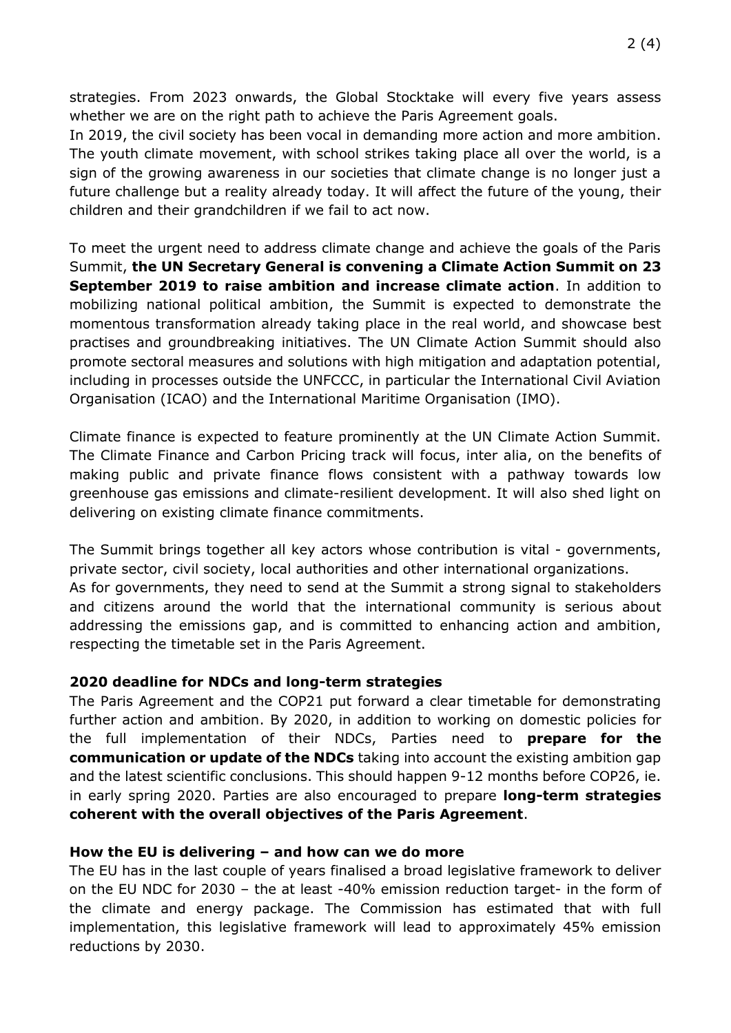strategies. From 2023 onwards, the Global Stocktake will every five years assess whether we are on the right path to achieve the Paris Agreement goals.

In 2019, the civil society has been vocal in demanding more action and more ambition. The youth climate movement, with school strikes taking place all over the world, is a sign of the growing awareness in our societies that climate change is no longer just a future challenge but a reality already today. It will affect the future of the young, their children and their grandchildren if we fail to act now.

To meet the urgent need to address climate change and achieve the goals of the Paris Summit, **the UN Secretary General is convening a Climate Action Summit on 23 September 2019 to raise ambition and increase climate action**. In addition to mobilizing national political ambition, the Summit is expected to demonstrate the momentous transformation already taking place in the real world, and showcase best practises and groundbreaking initiatives. The UN Climate Action Summit should also promote sectoral measures and solutions with high mitigation and adaptation potential, including in processes outside the UNFCCC, in particular the International Civil Aviation Organisation (ICAO) and the International Maritime Organisation (IMO).

Climate finance is expected to feature prominently at the UN Climate Action Summit. The Climate Finance and Carbon Pricing track will focus, inter alia, on the benefits of making public and private finance flows consistent with a pathway towards low greenhouse gas emissions and climate-resilient development. It will also shed light on delivering on existing climate finance commitments.

The Summit brings together all key actors whose contribution is vital - governments, private sector, civil society, local authorities and other international organizations. As for governments, they need to send at the Summit a strong signal to stakeholders and citizens around the world that the international community is serious about addressing the emissions gap, and is committed to enhancing action and ambition, respecting the timetable set in the Paris Agreement.

#### **2020 deadline for NDCs and long-term strategies**

The Paris Agreement and the COP21 put forward a clear timetable for demonstrating further action and ambition. By 2020, in addition to working on domestic policies for the full implementation of their NDCs, Parties need to **prepare for the communication or update of the NDCs** taking into account the existing ambition gap and the latest scientific conclusions. This should happen 9-12 months before COP26, ie. in early spring 2020. Parties are also encouraged to prepare **long-term strategies coherent with the overall objectives of the Paris Agreement**.

#### **How the EU is delivering – and how can we do more**

The EU has in the last couple of years finalised a broad legislative framework to deliver on the EU NDC for 2030 – the at least -40% emission reduction target- in the form of the climate and energy package. The Commission has estimated that with full implementation, this legislative framework will lead to approximately 45% emission reductions by 2030.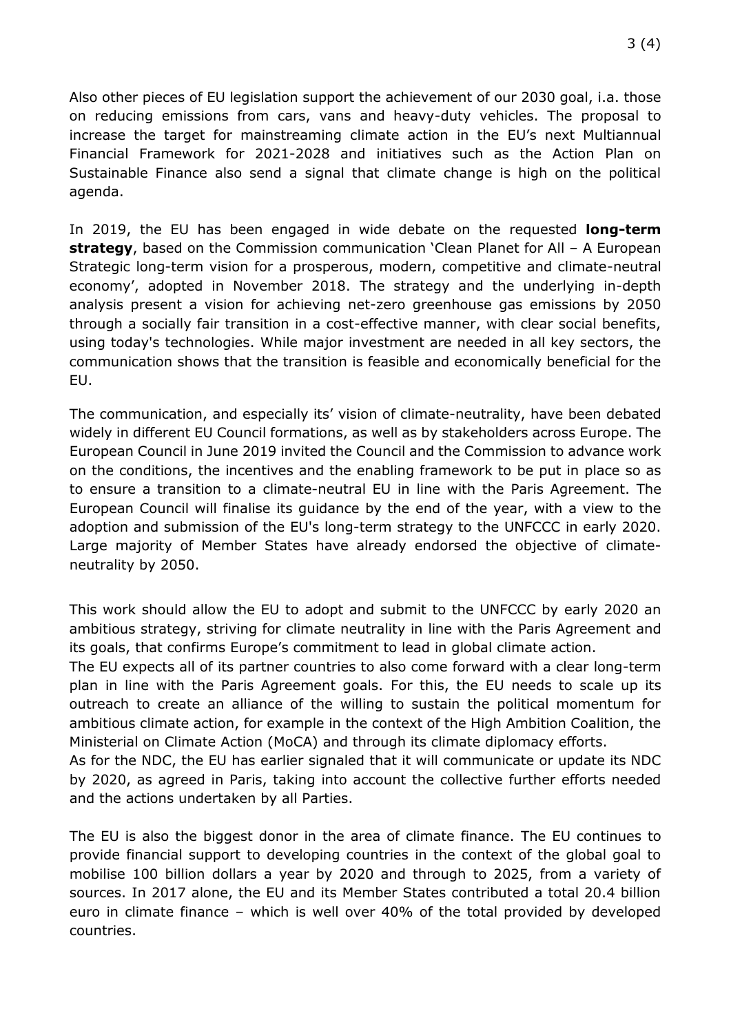Also other pieces of EU legislation support the achievement of our 2030 goal, i.a. those on reducing emissions from cars, vans and heavy-duty vehicles. The proposal to increase the target for mainstreaming climate action in the EU's next Multiannual Financial Framework for 2021-2028 and initiatives such as the Action Plan on Sustainable Finance also send a signal that climate change is high on the political agenda.

In 2019, the EU has been engaged in wide debate on the requested **long-term strategy**, based on the Commission communication 'Clean Planet for All – A European Strategic long-term vision for a prosperous, modern, competitive and climate-neutral economy', adopted in November 2018. The strategy and the underlying in-depth analysis present a vision for achieving net-zero greenhouse gas emissions by 2050 through a socially fair transition in a cost-effective manner, with clear social benefits, using today's technologies. While major investment are needed in all key sectors, the communication shows that the transition is feasible and economically beneficial for the EU.

The communication, and especially its' vision of climate-neutrality, have been debated widely in different EU Council formations, as well as by stakeholders across Europe. The European Council in June 2019 invited the Council and the Commission to advance work on the conditions, the incentives and the enabling framework to be put in place so as to ensure a transition to a climate-neutral EU in line with the Paris Agreement. The European Council will finalise its guidance by the end of the year, with a view to the adoption and submission of the EU's long-term strategy to the UNFCCC in early 2020. Large majority of Member States have already endorsed the objective of climateneutrality by 2050.

This work should allow the EU to adopt and submit to the UNFCCC by early 2020 an ambitious strategy, striving for climate neutrality in line with the Paris Agreement and its goals, that confirms Europe's commitment to lead in global climate action.

The EU expects all of its partner countries to also come forward with a clear long-term plan in line with the Paris Agreement goals. For this, the EU needs to scale up its outreach to create an alliance of the willing to sustain the political momentum for ambitious climate action, for example in the context of the High Ambition Coalition, the Ministerial on Climate Action (MoCA) and through its climate diplomacy efforts.

As for the NDC, the EU has earlier signaled that it will communicate or update its NDC by 2020, as agreed in Paris, taking into account the collective further efforts needed and the actions undertaken by all Parties.

The EU is also the biggest donor in the area of climate finance. The EU continues to provide financial support to developing countries in the context of the global goal to mobilise 100 billion dollars a year by 2020 and through to 2025, from a variety of sources. In 2017 alone, the EU and its Member States contributed a total 20.4 billion euro in climate finance – which is well over 40% of the total provided by developed countries.